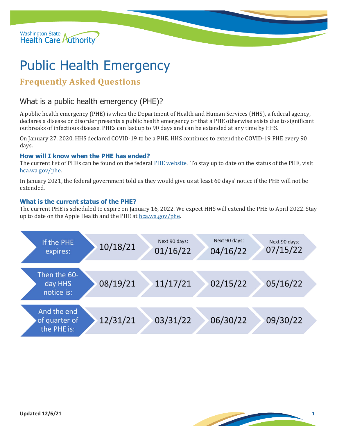

# Public Health Emergency

## **Frequently Asked Questions**

### What is a public health emergency (PHE)?

A public health emergency (PHE) is when the Department of Health and Human Services (HHS), a federal agency, declares a disease or disorder presents a public health emergency or that a PHE otherwise exists due to significant outbreaks of infectious disease. PHEs can last up to 90 days and can be extended at any time by HHS.

On January 27, 2020, HHS declared COVID-19 to be a PHE. HHS continues to extend the COVID-19 PHE every 90 days.

#### **How will I know when the PHE has ended?**

The current list of PHEs can be found on the federal [PHE website.](https://www.phe.gov/newsroom/Pages/healthactions.aspx) To stay up to date on the status of the PHE, visit [hca.wa.gov/phe.](http://www.hca.wa.gov/phe)

In January 2021, the federal government told us they would give us at least 60 days' notice if the PHE will not be extended.

#### **What is the current status of the PHE?**

The current PHE is scheduled to expire on January 16, 2022. We expect HHS will extend the PHE to April 2022. Stay up to date on the Apple Health and the PHE a[t hca.wa.gov/phe.](http://www.hca.wa.gov/phe)